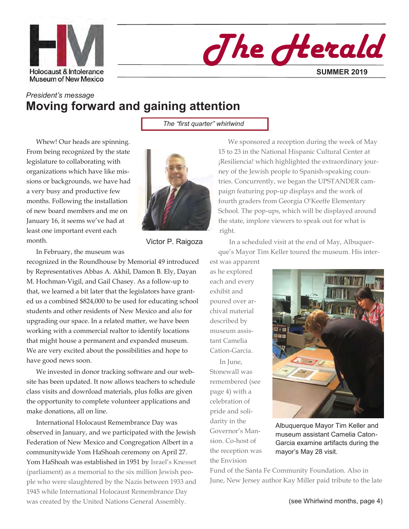



### *President's message* **Moving forward and gaining attention**

*The "first quarter" whirlwind*

 Whew! Our heads are spinning. From being recognized by the state legislature to collaborating with organizations which have like missions or backgrounds, we have had a very busy and productive few months. Following the installation of new board members and me on January 16, it seems we've had at least one important event each month.

In February, the museum was

recognized in the Roundhouse by Memorial 49 introduced by Representatives Abbas A. Akhil, Damon B. Ely, Dayan M. Hochman-Vigil, and Gail Chasey. As a follow-up to that, we learned a bit later that the legislators have granted us a combined \$824,000 to be used for educating school students and other residents of New Mexico and *also* for upgrading our space. In a related matter, we have been working with a commercial realtor to identify locations that might house a permanent and expanded museum. We are very excited about the possibilities and hope to have good news soon.

 We invested in donor tracking software and our website has been updated. It now allows teachers to schedule class visits and download materials, plus folks are given the opportunity to complete volunteer applications and make donations, all on line.

 International Holocaust Remembrance Day was observed in January, and we participated with the Jewish Federation of New Mexico and Congregation Albert in a communitywide Yom HaShoah ceremony on April 27. Yom HaShoah was established in 1951 by Israel's Knesset (parliament) as a memorial to the six million Jewish people who were slaughtered by the Nazis between 1933 and 1945 while International Holocaust Remembrance Day was created by the United Nations General Assembly.



Victor P. Raigoza

 We sponsored a reception during the week of May 15 to 23 in the National Hispanic Cultural Center at ¡Resiliencia! which highlighted the extraordinary journey of the Jewish people to Spanish-speaking countries. Concurrently, we began the UPSTANDER campaign featuring pop-up displays and the work of fourth graders from Georgia O'Keeffe Elementary School. The pop-ups, which will be displayed around the state, implore viewers to speak out for what is right.

 In a scheduled visit at the end of May, Albuquerque's Mayor Tim Keller toured the museum. His inter-

est was apparent as he explored each and every exhibit and poured over archival material described by museum assistant Camelia Cation-Garcia.

 In June, Stonewall was remembered (see page 4) with a celebration of pride and solidarity in the Governor's Mansion. Co-host of the reception was the Envision



Albuquerque Mayor Tim Keller and museum assistant Camelia Caton-Garcia examine artifacts during the mayor's May 28 visit.

Fund of the Santa Fe Community Foundation. Also in June, New Jersey author Kay Miller paid tribute to the late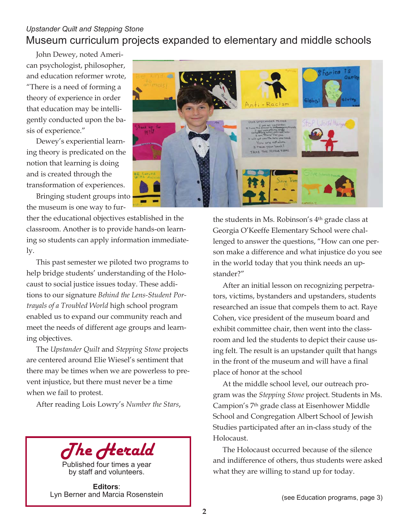### *Upstander Quilt and Stepping Stone* Museum curriculum projects expanded to elementary and middle schools

 John Dewey, noted American psychologist, philosopher, and education reformer wrote, "There is a need of forming a theory of experience in order that education may be intelligently conducted upon the basis of experience."

 Dewey's experiential learning theory is predicated on the notion that learning is doing and is created through the transformation of experiences.

 Bringing student groups into the museum is one way to fur-

ther the educational objectives established in the classroom. Another is to provide hands-on learning so students can apply information immediately.

 This past semester we piloted two programs to help bridge students' understanding of the Holocaust to social justice issues today. These additions to our signature *Behind the Lens-Student Portrayals of a Troubled World* high school program enabled us to expand our community reach and meet the needs of different age groups and learning objectives.

 The *Upstander Quilt* and *Stepping Stone* projects are centered around Elie Wiesel's sentiment that there may be times when we are powerless to prevent injustice, but there must never be a time when we fail to protest.

After reading Lois Lowry's *Number the Stars*,



Published four times a year by staff and volunteers.

**Editors**: Lyn Berner and Marcia Rosenstein



the students in Ms. Robinson's 4th grade class at Georgia O'Keeffe Elementary School were challenged to answer the questions, "How can one person make a difference and what injustice do you see in the world today that you think needs an upstander?"

 After an initial lesson on recognizing perpetrators, victims, bystanders and upstanders, students researched an issue that compels them to act. Raye Cohen, vice president of the museum board and exhibit committee chair, then went into the classroom and led the students to depict their cause using felt. The result is an upstander quilt that hangs in the front of the museum and will have a final place of honor at the school

 At the middle school level, our outreach program was the *Stepping Stone* project. Students in Ms. Campion's 7th grade class at Eisenhower Middle School and Congregation Albert School of Jewish Studies participated after an in-class study of the Holocaust.

 The Holocaust occurred because of the silence and indifference of others, thus students were asked what they are willing to stand up for today.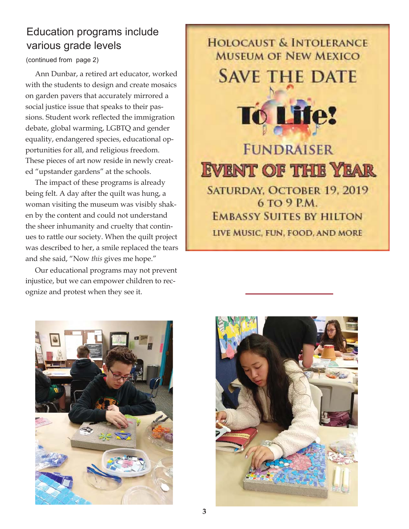## Education programs include various grade levels

#### (continued from page 2)

 Ann Dunbar, a retired art educator, worked with the students to design and create mosaics on garden pavers that accurately mirrored a social justice issue that speaks to their passions. Student work reflected the immigration debate, global warming, LGBTQ and gender equality, endangered species, educational opportunities for all, and religious freedom. These pieces of art now reside in newly created "upstander gardens" at the schools.

 The impact of these programs is already being felt. A day after the quilt was hung, a woman visiting the museum was visibly shaken by the content and could not understand the sheer inhumanity and cruelty that continues to rattle our society. When the quilt project was described to her, a smile replaced the tears and she said, "Now *this* gives me hope."

 Our educational programs may not prevent injustice, but we can empower children to recognize and protest when they see it.





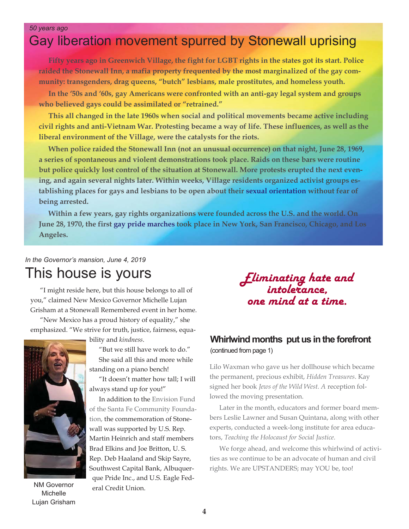# Gay liberation movement spurred by Stonewall uprising

 **Fifty years ago in Greenwich Village, the fight for LGBT rights in the states got its start. Police raided the Stonewall Inn, a mafia property frequented by the most marginalized of the gay community: transgenders, drag queens, "butch" lesbians, male prostitutes, and homeless youth.** 

 **In the '50s and '60s, gay Americans were confronted with an anti-gay legal system and groups who believed gays could be assimilated or "retrained."** 

 **This all changed in the late 1960s when social and political movements became active including civil rights and anti-Vietnam War. Protesting became a way of life. These influences, as well as the liberal environment of the Village, were the catalysts for the riots.** 

 **When police raided the Stonewall Inn (not an unusual occurrence) on that night, June 28, 1969, a series of spontaneous and violent demonstrations took place. Raids on these bars were routine but police quickly lost control of the situation at Stonewall. More protests erupted the next evening, and again several nights later. Within weeks, Village residents organized activist groups establishing places for gays and lesbians to be open about their sexual orientation without fear of being arrested.** 

 **Within a few years, gay rights organizations were founded across the U.S. and the world. On June 28, 1970, the first gay pride marches took place in New York, San Francisco, Chicago, and Los Angeles.**

## *In the Governor's mansion, June 4, 2019* This house is yours

 "I might reside here, but this house belongs to all of you," claimed New Mexico Governor Michelle Lujan Grisham at a Stonewall Remembered event in her home.

 "New Mexico has a proud history of equality," she emphasized. "We strive for truth, justice, fairness, equa-



Michelle Lujan Grisham

bility and *kindness*.

 "But we still have work to do." She said all this and more while standing on a piano bench!

 "It doesn't matter how tall; I will always stand up for you!"

 In addition to the Envision Fund of the Santa Fe Community Foundation, the commemoration of Stonewall was supported by U.S. Rep. Martin Heinrich and staff members Brad Elkins and Joe Britton, U. S. Rep. Deb Haaland and Skip Sayre, Southwest Capital Bank, Albuquerque Pride Inc., and U.S. Eagle Fed-NM Governor eral Credit Union.

*Eliminating hate and intolerance, one mind at a time.* 

### **Whirlwind months put us in the forefront** (continued from page 1)

Lilo Waxman who gave us her dollhouse which became the permanent, precious exhibit, *Hidden Treasures*. Kay signed her book *Jews of the Wild West. A* reception followed the moving presentation.

 Later in the month, educators and former board members Leslie Lawner and Susan Quintana, along with other experts, conducted a week-long institute for area educators, *Teaching the Holocaust for Social Justice.*

 We forge ahead, and welcome this whirlwind of activities as we continue to be an advocate of human and civil rights. We are UPSTANDERS; may YOU be, too!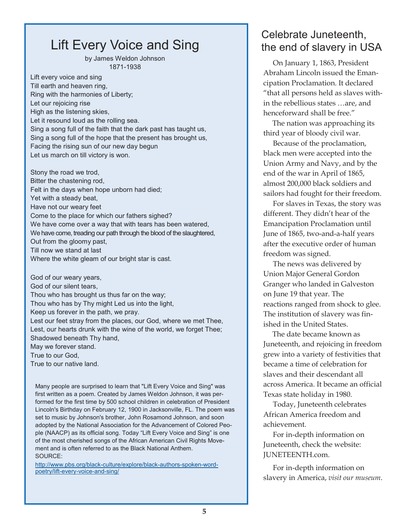## Lift Every Voice and Sing

by James Weldon Johnson 1871-1938

Lift every voice and sing Till earth and heaven ring, Ring with the harmonies of Liberty; Let our rejoicing rise High as the listening skies, Let it resound loud as the rolling sea. Sing a song full of the faith that the dark past has taught us, Sing a song full of the hope that the present has brought us, Facing the rising sun of our new day begun Let us march on till victory is won.

Stony the road we trod, Bitter the chastening rod, Felt in the days when hope unborn had died; Yet with a steady beat, Have not our weary feet Come to the place for which our fathers sighed? We have come over a way that with tears has been watered, We have come, treading our path through the blood of the slaughtered, Out from the gloomy past, Till now we stand at last Where the white gleam of our bright star is cast.

God of our weary years, God of our silent tears, Thou who has brought us thus far on the way; Thou who has by Thy might Led us into the light, Keep us forever in the path, we pray. Lest our feet stray from the places, our God, where we met Thee, Lest, our hearts drunk with the wine of the world, we forget Thee; Shadowed beneath Thy hand, May we forever stand. True to our God, True to our native land.

Many people are surprised to learn that "Lift Every Voice and Sing" was first written as a poem. Created by James Weldon Johnson, it was performed for the first time by 500 school children in celebration of President Lincoln's Birthday on February 12, 1900 in Jacksonville, FL. The poem was set to music by Johnson's brother, John Rosamond Johnson, and soon adopted by the National Association for the Advancement of Colored People (NAACP) as its official song. Today "Lift Every Voice and Sing" is one of the most cherished songs of the African American Civil Rights Movement and is often referred to as the Black National Anthem. SOURCE:

http://www.pbs.org/black-culture/explore/black-authors-spoken-wordpoetry/lift-every-voice-and-sing/

## Celebrate Juneteenth, the end of slavery in USA

 On January 1, 1863, President Abraham Lincoln issued the Emancipation Proclamation. It declared "that all persons held as slaves within the rebellious states …are, and henceforward shall be free."

The nation was approaching its third year of bloody civil war.

 Because of the proclamation, black men were accepted into the Union Army and Navy, and by the end of the war in April of 1865, almost 200,000 black soldiers and sailors had fought for their freedom.

 For slaves in Texas, the story was different. They didn't hear of the Emancipation Proclamation until June of 1865, two-and-a-half years after the executive order of human freedom was signed.

 The news was delivered by Union Major General Gordon Granger who landed in Galveston on June 19 that year. The reactions ranged from shock to glee. The institution of slavery was finished in the United States.

The date became known as Juneteenth, and rejoicing in freedom grew into a variety of festivities that became a time of celebration for slaves and their descendant all across America. It became an official Texas state holiday in 1980.

 Today, Juneteenth celebrates African America freedom and achievement.

 For in-depth information on Juneteenth, check the website: JUNETEENTH.com.

 For in-depth information on slavery in America, *visit our museum*.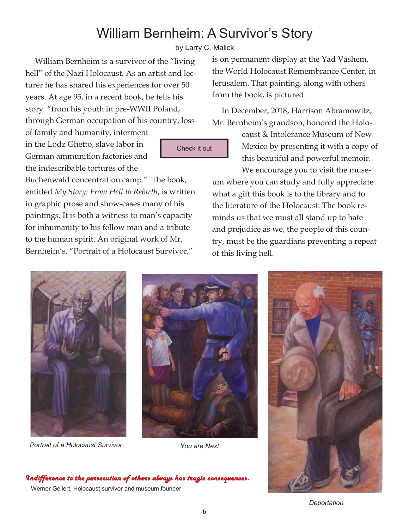# William Bernheim: A Survivor's Story

by Larry C. Malick

 William Bernheim is a survivor of the "living hell" of the Nazi Holocaust. As an artist and lecturer he has shared his experiences for over 50 years. At age 95, in a recent book, he tells his story "from his youth in pre-WWII Poland, through German occupation of his country, loss

of family and humanity, interment in the Lodz Ghetto, slave labor in German ammunition factories and the indescribable tortures of the

Buchenwald concentration camp." The book, entitled *My Story: From Hell to Rebirth*, is written in graphic prose and show-cases many of his paintings. It is both a witness to man's capacity for inhumanity to his fellow man and a tribute to the human spirit. An original work of Mr. Bernheim's, "Portrait of a Holocaust Survivor,"

is on permanent display at the Yad Vashem, the World Holocaust Remembrance Center, in Jerusalem. That painting, along with others from the book, is pictured.

 In December, 2018, Harrison Abramowitz, Mr. Bernheim's grandson, honored the Holo-

> caust & Intolerance Museum of New Mexico by presenting it with a copy of this beautiful and powerful memoir. We encourage you to visit the muse-

um where you can study and fully appreciate what a gift this book is to the library and to the literature of the Holocaust. The book reminds us that we must all stand up to hate and prejudice as we, the people of this country, must be the guardians preventing a repeat of this living hell.



*Portrait of a Holocaust Survivor*



*You are Next*

## *Indifference to the persecution of others always has tragic consequences***.**

—Werner Gellert, Holocaust survivor and museum founder



Check it out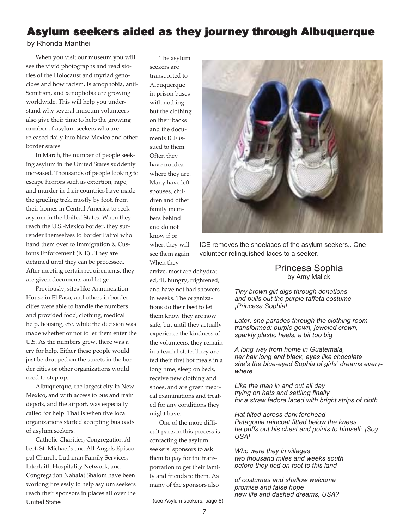# Asylum seekers aided as they journey through Albuquerque

#### by Rhonda Manthei

 When you visit our museum you will see the vivid photographs and read stories of the Holocaust and myriad genocides and how racism, Islamophobia, anti-Semitism, and xenophobia are growing worldwide. This will help you understand why several museum volunteers also give their time to help the growing number of asylum seekers who are released daily into New Mexico and other border states.

 In March, the number of people seeking asylum in the United States suddenly increased. Thousands of people looking to escape horrors such as extortion, rape, and murder in their countries have made the grueling trek, mostly by foot, from their homes in Central America to seek asylum in the United States. When they reach the U.S.-Mexico border, they surrender themselves to Border Patrol who hand them over to Immigration & Customs Enforcement (ICE) . They are detained until they can be processed. After meeting certain requirements, they are given documents and let go.

 Previously, sites like Annunciation House in El Paso, and others in border cities were able to handle the numbers and provided food, clothing, medical help, housing, etc. while the decision was made whether or not to let them enter the U.S. As the numbers grew, there was a cry for help. Either these people would just be dropped on the streets in the border cities or other organizations would need to step up.

 Albuquerque, the largest city in New Mexico, and with access to bus and train depots, and the airport, was especially called for help. That is when five local organizations started accepting busloads of asylum seekers.

 Catholic Charities, Congregation Albert, St. Michael's and All Angels Episcopal Church, Lutheran Family Services, Interfaith Hospitality Network, and Congregation Nahalat Shalom have been working tirelessly to help asylum seekers reach their sponsors in places all over the United States.

 The asylum seekers are transported to Albuquerque in prison buses with nothing but the clothing on their backs and the documents ICE issued to them. Often they have no idea where they are. Many have left spouses, children and other family members behind and do not know if or when they will see them again. When they

arrive, most are dehydrated, ill, hungry, frightened, and have not had showers in weeks. The organizations do their best to let them know they are now safe, but until they actually experience the kindness of the volunteers, they remain in a fearful state. They are fed their first hot meals in a long time, sleep on beds, receive new clothing and shoes, and are given medical examinations and treated for any conditions they might have.

 One of the more difficult parts in this process is contacting the asylum seekers' sponsors to ask them to pay for the transportation to get their family and friends to them. As many of the sponsors also



ICE removes the shoelaces of the asylum seekers.. One volunteer relinquished laces to a seeker.

#### Princesa Sophia by Amy Malick

*Tiny brown girl digs through donations and pulls out the purple taffeta costume ¡Princesa Sophia!*

*Later, she parades through the clothing room transformed: purple gown, jeweled crown, sparkly plastic heels, a bit too big*

*A long way from home in Guatemala, her hair long and black, eyes like chocolate she's the blue-eyed Sophia of girls' dreams everywhere*

*Like the man in and out all day trying on hats and settling finally for a straw fedora laced with bright strips of cloth*

*Hat tilted across dark forehead Patagonia raincoat fitted below the knees he puffs out his chest and points to himself: ¡Soy USA!*

*Who were they in villages two thousand miles and weeks south before they fled on foot to this land*

*of costumes and shallow welcome promise and false hope new life and dashed dreams, USA?*

(see Asylum seekers, page 8)